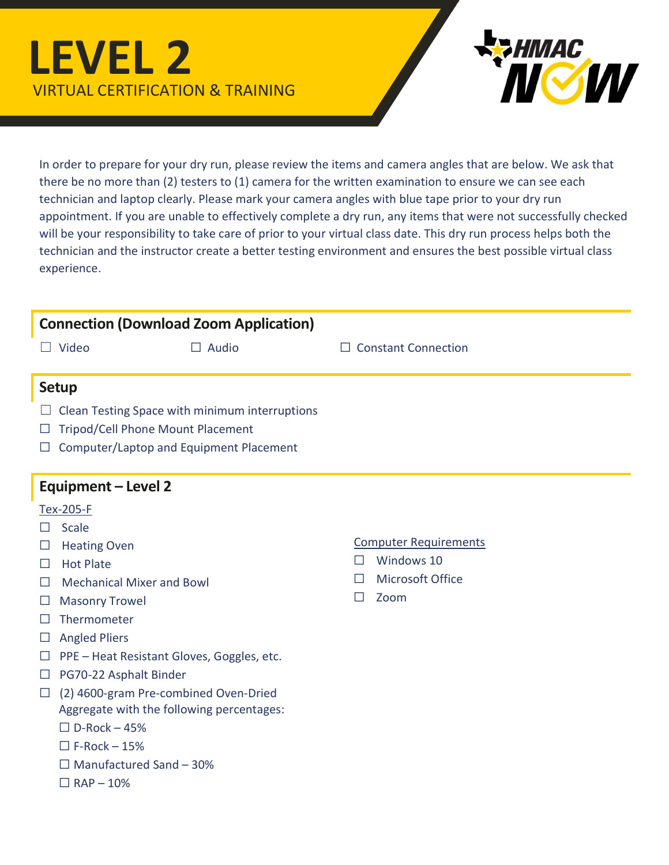## LEVEL 2 VIRTUAL CERTIFICATION & TRAINING



In order to prepare for your dry run, please review the items and camera angles that are below. We ask that there be no more than (2) testers to (1) camera for the written examination to ensure we can see each technician and laptop clearly. Please mark your camera angles with blue tape prior to your dry run appointment. If you are unable to effectively complete a dry run, any items that were not successfully checked will be your responsibility to take care of prior to your virtual class date. This dry run process helps both the technician and the instructor create a better testing environment and ensures the best possible virtual class experience.

| <b>Connection (Download Zoom Application)</b>                                                                                                                                                                                                                                                                                                                                                                                                                                                                                          |                                                                                                                         |
|----------------------------------------------------------------------------------------------------------------------------------------------------------------------------------------------------------------------------------------------------------------------------------------------------------------------------------------------------------------------------------------------------------------------------------------------------------------------------------------------------------------------------------------|-------------------------------------------------------------------------------------------------------------------------|
| Video<br>$\Box$ Audio<br>$\Box$                                                                                                                                                                                                                                                                                                                                                                                                                                                                                                        | $\Box$ Constant Connection                                                                                              |
| <b>Setup</b><br>Clean Testing Space with minimum interruptions<br>Tripod/Cell Phone Mount Placement<br>ப<br>Computer/Laptop and Equipment Placement<br><b>Equipment - Level 2</b>                                                                                                                                                                                                                                                                                                                                                      |                                                                                                                         |
| <b>Tex-205-F</b><br>Scale<br>П<br><b>Heating Oven</b><br>ப<br><b>Hot Plate</b><br>$\Box$<br><b>Mechanical Mixer and Bowl</b><br>$\mathsf{L}$<br><b>Masonry Trowel</b><br>ப<br>Thermometer<br>$\mathsf{L}$<br><b>Angled Pliers</b><br>ப<br>PPE - Heat Resistant Gloves, Goggles, etc.<br>$\Box$<br>PG70-22 Asphalt Binder<br>$\Box$<br>(2) 4600-gram Pre-combined Oven-Dried<br>$\Box$<br>Aggregate with the following percentages:<br>$\Box$ D-Rock - 45%<br>$\Box$ F-Rock - 15%<br>$\Box$ Manufactured Sand - 30%<br>$\Box$ RAP - 10% | <b>Computer Requirements</b><br>Windows 10<br>$\Box$<br><b>Microsoft Office</b><br>$\mathsf{L}$<br>Zoom<br>$\mathsf{L}$ |